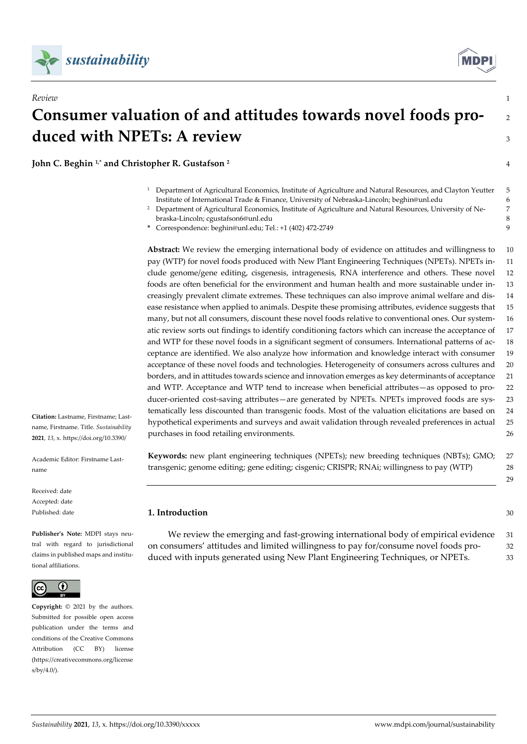



# **Consumer valuation of and attitudes towards novel foods pro-** <sup>2</sup> **duced with NPETs: A review 3 3 3 3 3 3 3 4 4 5 6 7 7 8 4 4 5 7 7 8 7 7 8 7 7 8 7 7 8 7 7 8 7 7 8 7 7 8 7 7 8 7 7 8 7 7 8 7 7 8 7 7 8 7 7 8 7 7 8 7 7 8 7 7 8 7 7 8 7 7 8 7 7 8 7 7 8 7 7 8 7 7 8 7 7 8 7 7 8 7 7 8 7 7 8 7 7**

*Review* 1

**John C. Beghin 1,\* and Christopher R. Gustafson <sup>2</sup>** 4

- <sup>1</sup> Department of Agricultural Economics, Institute of Agriculture and Natural Resources, and Clayton Yeutter 5 Institute of International Trade & Finance, University of Nebraska-Lincoln; beghin@unl.edu 6
- <sup>2</sup> Department of Agricultural Economics, Institute of Agriculture and Natural Resources, University of Ne- 7 braska-Lincoln; cgustafson6@unl.edu 8
- **\*** Correspondence: beghin@unl.edu; Tel.: +1 (402) 472-2749 9

**Abstract:** We review the emerging international body of evidence on attitudes and willingness to 10 pay (WTP) for novel foods produced with New Plant Engineering Techniques (NPETs). NPETs in- 11 clude genome/gene editing, cisgenesis, intragenesis, RNA interference and others. These novel 12 foods are often beneficial for the environment and human health and more sustainable under in- 13 creasingly prevalent climate extremes. These techniques can also improve animal welfare and dis- 14 ease resistance when applied to animals. Despite these promising attributes, evidence suggests that 15 many, but not all consumers, discount these novel foods relative to conventional ones. Our system- 16 atic review sorts out findings to identify conditioning factors which can increase the acceptance of 17 and WTP for these novel foods in a significant segment of consumers. International patterns of ac- 18 ceptance are identified. We also analyze how information and knowledge interact with consumer 19 acceptance of these novel foods and technologies. Heterogeneity of consumers across cultures and 20 borders, and in attitudes towards science and innovation emerges as key determinants of acceptance 21 and WTP. Acceptance and WTP tend to increase when beneficial attributes—as opposed to pro- 22 ducer-oriented cost-saving attributes—are generated by NPETs. NPETs improved foods are sys- 23 tematically less discounted than transgenic foods. Most of the valuation elicitations are based on 24 hypothetical experiments and surveys and await validation through revealed preferences in actual 25 purchases in food retailing environments. 26

name, Firstname. Title. *Sustainability*  **2021**, *13*, x. https://doi.org/10.3390/

**Citation:** Lastname, Firstname; Last-

Academic Editor: Firstname Lastname

Received: date Accepted: date Published: date

**Publisher's Note:** MDPI stays neutral with regard to jurisdictional claims in published maps and institutional affiliations.



**Copyright:** © 2021 by the authors. Submitted for possible open access publication under the terms and conditions of the Creative Commons Attribution (CC BY) license (https://creativecommons.org/license s/by/4.0/).

**Keywords:** new plant engineering techniques (NPETs); new breeding techniques (NBTs); GMO; 27 transgenic; genome editing; gene editing; cisgenic; CRISPR; RNAi; willingness to pay (WTP) 28

**1. Introduction** 30

29

We review the emerging and fast-growing international body of empirical evidence 31 on consumers' attitudes and limited willingness to pay for/consume novel foods pro- 32 duced with inputs generated using New Plant Engineering Techniques, or NPETs. 33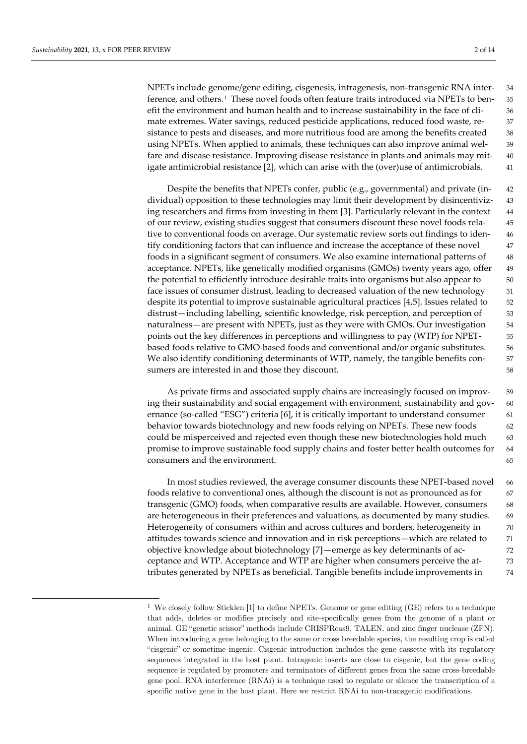<span id="page-1-0"></span>1

NPETs include genome/gene editing, cisgenesis, intragenesis, non-transgenic RNA inter- 34 ference, and others.[1](#page-1-0) These novel foods often feature traits introduced via NPETs to ben- 35 efit the environment and human health and to increase sustainability in the face of cli- 36 mate extremes. Water savings, reduced pesticide applications, reduced food waste, re- 37 sistance to pests and diseases, and more nutritious food are among the benefits created 38 using NPETs. When applied to animals, these techniques can also improve animal wel- 39 fare and disease resistance. Improving disease resistance in plants and animals may mit- 40 igate antimicrobial resistance [2], which can arise with the (over)use of antimicrobials. 41

Despite the benefits that NPETs confer, public (e.g., governmental) and private (in- 42 dividual) opposition to these technologies may limit their development by disincentiviz- 43 ing researchers and firms from investing in them [3]. Particularly relevant in the context 44 of our review, existing studies suggest that consumers discount these novel foods rela- 45 tive to conventional foods on average. Our systematic review sorts out findings to iden- 46 tify conditioning factors that can influence and increase the acceptance of these novel 47 foods in a significant segment of consumers. We also examine international patterns of 48 acceptance. NPETs, like genetically modified organisms (GMOs) twenty years ago, offer 49 the potential to efficiently introduce desirable traits into organisms but also appear to  $\sim$  50 face issues of consumer distrust, leading to decreased valuation of the new technology 51 despite its potential to improve sustainable agricultural practices [4,5]. Issues related to 52 distrust—including labelling, scientific knowledge, risk perception, and perception of 53 naturalness—are present with NPETs, just as they were with GMOs. Our investigation 54 points out the key differences in perceptions and willingness to pay (WTP) for NPET- 55 based foods relative to GMO-based foods and conventional and/or organic substitutes. 56 We also identify conditioning determinants of WTP, namely, the tangible benefits con- 57 sumers are interested in and those they discount. 58

As private firms and associated supply chains are increasingly focused on improv- 59 ing their sustainability and social engagement with environment, sustainability and gov- 60 ernance (so-called "ESG") criteria [6], it is critically important to understand consumer 61 behavior towards biotechnology and new foods relying on NPETs. These new foods 62 could be misperceived and rejected even though these new biotechnologies hold much 63 promise to improve sustainable food supply chains and foster better health outcomes for 64 consumers and the environment. 65

In most studies reviewed, the average consumer discounts these NPET-based novel 66 foods relative to conventional ones, although the discount is not as pronounced as for 67 transgenic (GMO) foods, when comparative results are available. However, consumers 68 are heterogeneous in their preferences and valuations, as documented by many studies. 69 Heterogeneity of consumers within and across cultures and borders, heterogeneity in 70 attitudes towards science and innovation and in risk perceptions—which are related to 71 objective knowledge about biotechnology [7]—emerge as key determinants of ac- 72 ceptance and WTP. Acceptance and WTP are higher when consumers perceive the at- 73 tributes generated by NPETs as beneficial. Tangible benefits include improvements in 74

<sup>1</sup> We closely follow Sticklen [1] to define NPETs. Genome or gene editing (GE) refers to a technique that adds, deletes or modifies precisely and site-specifically genes from the genome of a plant or animal. GE "genetic scissor" methods include CRISPRcas9, TALEN, and zinc finger nuclease (ZFN). When introducing a gene belonging to the same or cross breedable species, the resulting crop is called "cisgenic" or sometime ingenic. Cisgenic introduction includes the gene cassette with its regulatory sequences integrated in the host plant. Intragenic inserts are close to cisgenic, but the gene coding sequence is regulated by promoters and terminators of different genes from the same cross-breedable gene pool. RNA interference (RNAi) is a technique used to regulate or silence the transcription of a specific native gene in the host plant. Here we restrict RNAi to non-transgenic modifications.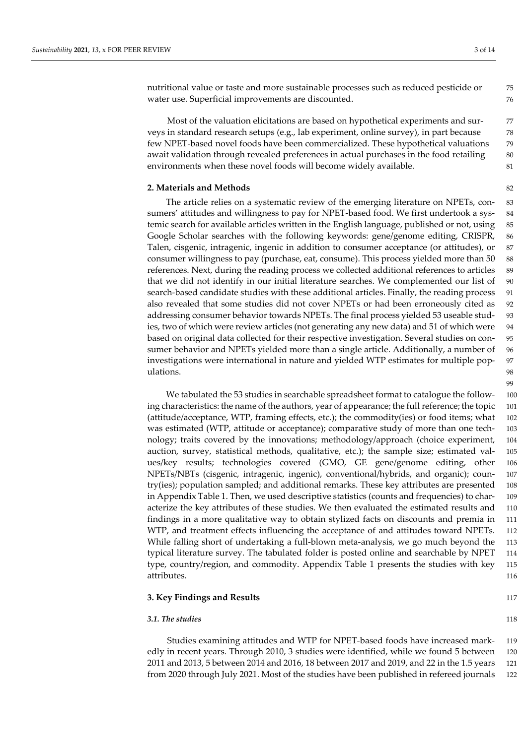nutritional value or taste and more sustainable processes such as reduced pesticide or 75 water use. Superficial improvements are discounted. The same state of  $\sim$  76

Most of the valuation elicitations are based on hypothetical experiments and sur- 77 veys in standard research setups (e.g., lab experiment, online survey), in part because 78 few NPET-based novel foods have been commercialized. These hypothetical valuations 79 await validation through revealed preferences in actual purchases in the food retailing 80 environments when these novel foods will become widely available. 81

## **2. Materials and Methods** 82

The article relies on a systematic review of the emerging literature on NPETs, con- 83 sumers' attitudes and willingness to pay for NPET-based food. We first undertook a sys- 84 temic search for available articles written in the English language, published or not, using 85 Google Scholar searches with the following keywords: gene/genome editing, CRISPR, 86 Talen, cisgenic, intragenic, ingenic in addition to consumer acceptance (or attitudes), or 87 consumer willingness to pay (purchase, eat, consume). This process yielded more than 50 88 references. Next, during the reading process we collected additional references to articles 89 that we did not identify in our initial literature searches. We complemented our list of 90 search-based candidate studies with these additional articles. Finally, the reading process 91 also revealed that some studies did not cover NPETs or had been erroneously cited as 92 addressing consumer behavior towards NPETs. The final process yielded 53 useable stud- 93 ies, two of which were review articles (not generating any new data) and 51 of which were 94 based on original data collected for their respective investigation. Several studies on con- 95 sumer behavior and NPETs yielded more than a single article. Additionally, a number of 96 investigations were international in nature and yielded WTP estimates for multiple pop- 97 ulations. The contract of the contract of the contract of the contract of the contract of the contract of the contract of the contract of the contract of the contract of the contract of the contract of the contract of the

We tabulated the 53 studies in searchable spreadsheet format to catalogue the follow- 100 ing characteristics: the name of the authors, year of appearance; the full reference; the topic 101 (attitude/acceptance, WTP, framing effects, etc.); the commodity(ies) or food items; what 102 was estimated (WTP, attitude or acceptance); comparative study of more than one tech- 103 nology; traits covered by the innovations; methodology/approach (choice experiment, 104 auction, survey, statistical methods, qualitative, etc.); the sample size; estimated val- 105 ues/key results; technologies covered (GMO, GE gene/genome editing, other 106 NPETs/NBTs (cisgenic, intragenic, ingenic), conventional/hybrids, and organic); coun- 107 try(ies); population sampled; and additional remarks. These key attributes are presented 108 in Appendix Table 1. Then, we used descriptive statistics (counts and frequencies) to char- 109 acterize the key attributes of these studies. We then evaluated the estimated results and 110 findings in a more qualitative way to obtain stylized facts on discounts and premia in 111 WTP, and treatment effects influencing the acceptance of and attitudes toward NPETs. 112 While falling short of undertaking a full-blown meta-analysis, we go much beyond the 113 typical literature survey. The tabulated folder is posted online and searchable by NPET 114 type, country/region, and commodity. Appendix Table 1 presents the studies with key 115 attributes. 116

# **3. Key Findings and Results** 117

## **3.1.** The studies 118

Studies examining attitudes and WTP for NPET-based foods have increased mark- 119 edly in recent years. Through 2010, 3 studies were identified, while we found 5 between 120 2011 and 2013, 5 between 2014 and 2016, 18 between 2017 and 2019, and 22 in the 1.5 years 121 from 2020 through July 2021. Most of the studies have been published in refereed journals 122

99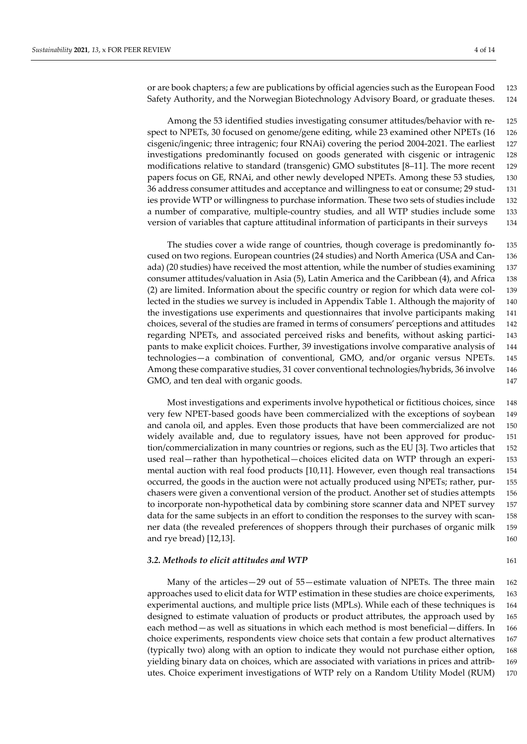or are book chapters; a few are publications by official agencies such as the European Food 123 Safety Authority, and the Norwegian Biotechnology Advisory Board, or graduate theses. 124

Among the 53 identified studies investigating consumer attitudes/behavior with re- 125 spect to NPETs, 30 focused on genome/gene editing, while 23 examined other NPETs (16 126) cisgenic/ingenic; three intragenic; four RNAi) covering the period 2004-2021. The earliest 127 investigations predominantly focused on goods generated with cisgenic or intragenic 128 modifications relative to standard (transgenic) GMO substitutes [8–11]. The more recent 129 papers focus on GE, RNAi, and other newly developed NPETs. Among these 53 studies, 130 36 address consumer attitudes and acceptance and willingness to eat or consume; 29 stud- 131 ies provide WTP or willingness to purchase information. These two sets of studies include 132 a number of comparative, multiple-country studies, and all WTP studies include some 133 version of variables that capture attitudinal information of participants in their surveys 134

The studies cover a wide range of countries, though coverage is predominantly fo- 135 cused on two regions. European countries (24 studies) and North America (USA and Can- 136 ada) (20 studies) have received the most attention, while the number of studies examining 137 consumer attitudes/valuation in Asia (5), Latin America and the Caribbean (4), and Africa 138 (2) are limited. Information about the specific country or region for which data were col- 139 lected in the studies we survey is included in Appendix Table 1. Although the majority of 140 the investigations use experiments and questionnaires that involve participants making 141 choices, several of the studies are framed in terms of consumers' perceptions and attitudes 142 regarding NPETs, and associated perceived risks and benefits, without asking partici- 143 pants to make explicit choices. Further, 39 investigations involve comparative analysis of 144 technologies—a combination of conventional, GMO, and/or organic versus NPETs. 145 Among these comparative studies, 31 cover conventional technologies/hybrids, 36 involve 146 GMO, and ten deal with organic goods. The same state of the state of the state of the state of the state of the state of the state of the state of the state of the state of the state of the state of the state of the state

Most investigations and experiments involve hypothetical or fictitious choices, since 148 very few NPET-based goods have been commercialized with the exceptions of soybean 149 and canola oil, and apples. Even those products that have been commercialized are not 150 widely available and, due to regulatory issues, have not been approved for produc- 151 tion/commercialization in many countries or regions, such as the EU [3]. Two articles that 152 used real—rather than hypothetical—choices elicited data on WTP through an experi- 153 mental auction with real food products [10,11]. However, even though real transactions 154 occurred, the goods in the auction were not actually produced using NPETs; rather, pur- 155 chasers were given a conventional version of the product. Another set of studies attempts 156 to incorporate non-hypothetical data by combining store scanner data and NPET survey 157 data for the same subjects in an effort to condition the responses to the survey with scan- 158 ner data (the revealed preferences of shoppers through their purchases of organic milk 159 and rye bread) [12,13]. 160

#### **3.2. Methods to elicit attitudes and WTP** 161

Many of the articles—29 out of 55—estimate valuation of NPETs. The three main 162 approaches used to elicit data for WTP estimation in these studies are choice experiments, 163 experimental auctions, and multiple price lists (MPLs). While each of these techniques is 164 designed to estimate valuation of products or product attributes, the approach used by 165 each method—as well as situations in which each method is most beneficial—differs. In 166 choice experiments, respondents view choice sets that contain a few product alternatives 167 (typically two) along with an option to indicate they would not purchase either option, 168 yielding binary data on choices, which are associated with variations in prices and attrib- 169 utes. Choice experiment investigations of WTP rely on a Random Utility Model (RUM) 170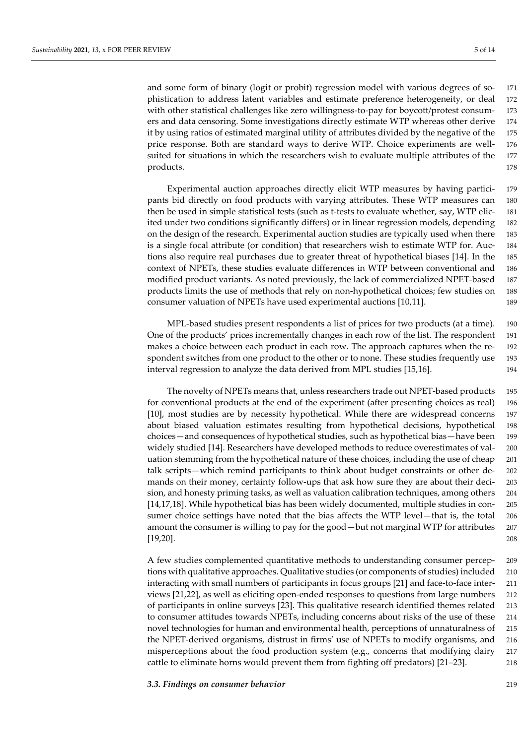and some form of binary (logit or probit) regression model with various degrees of so- 171 phistication to address latent variables and estimate preference heterogeneity, or deal 172 with other statistical challenges like zero willingness-to-pay for boycott/protest consum- 173 ers and data censoring. Some investigations directly estimate WTP whereas other derive 174 it by using ratios of estimated marginal utility of attributes divided by the negative of the 175 price response. Both are standard ways to derive WTP. Choice experiments are well- 176 suited for situations in which the researchers wish to evaluate multiple attributes of the 177 products. The contract of the contract of the contract of the contract of the contract of the contract of the contract of the contract of the contract of the contract of the contract of the contract of the contract of the

Experimental auction approaches directly elicit WTP measures by having partici- 179 pants bid directly on food products with varying attributes. These WTP measures can 180 then be used in simple statistical tests (such as t-tests to evaluate whether, say, WTP elic- 181 ited under two conditions significantly differs) or in linear regression models, depending 182 on the design of the research. Experimental auction studies are typically used when there 183 is a single focal attribute (or condition) that researchers wish to estimate WTP for. Auc- 184 tions also require real purchases due to greater threat of hypothetical biases [14]. In the 185 context of NPETs, these studies evaluate differences in WTP between conventional and 186 modified product variants. As noted previously, the lack of commercialized NPET-based 187 products limits the use of methods that rely on non-hypothetical choices; few studies on 188 consumer valuation of NPETs have used experimental auctions [10,11]. 189

MPL-based studies present respondents a list of prices for two products (at a time). 190 One of the products' prices incrementally changes in each row of the list. The respondent 191 makes a choice between each product in each row. The approach captures when the re- 192 spondent switches from one product to the other or to none. These studies frequently use 193 interval regression to analyze the data derived from MPL studies [15,16]. 194

The novelty of NPETs means that, unless researchers trade out NPET-based products 195 for conventional products at the end of the experiment (after presenting choices as real) 196 [10], most studies are by necessity hypothetical. While there are widespread concerns 197 about biased valuation estimates resulting from hypothetical decisions, hypothetical 198 choices—and consequences of hypothetical studies, such as hypothetical bias—have been 199 widely studied [14]. Researchers have developed methods to reduce overestimates of val- 200 uation stemming from the hypothetical nature of these choices, including the use of cheap 201 talk scripts—which remind participants to think about budget constraints or other de- 202 mands on their money, certainty follow-ups that ask how sure they are about their deci- 203 sion, and honesty priming tasks, as well as valuation calibration techniques, among others 204 [14,17,18]. While hypothetical bias has been widely documented, multiple studies in con- 205 sumer choice settings have noted that the bias affects the WTP level—that is, the total 206 amount the consumer is willing to pay for the good—but not marginal WTP for attributes 207 [19,20]. 208

A few studies complemented quantitative methods to understanding consumer percep- 209 tions with qualitative approaches. Qualitative studies (or components of studies) included 210 interacting with small numbers of participants in focus groups [21] and face-to-face inter- 211 views [21,22], as well as eliciting open-ended responses to questions from large numbers 212 of participants in online surveys [23]. This qualitative research identified themes related 213 to consumer attitudes towards NPETs, including concerns about risks of the use of these 214 novel technologies for human and environmental health, perceptions of unnaturalness of 215 the NPET-derived organisms, distrust in firms' use of NPETs to modify organisms, and 216 misperceptions about the food production system (e.g., concerns that modifying dairy 217 cattle to eliminate horns would prevent them from fighting off predators) [21–23]. 218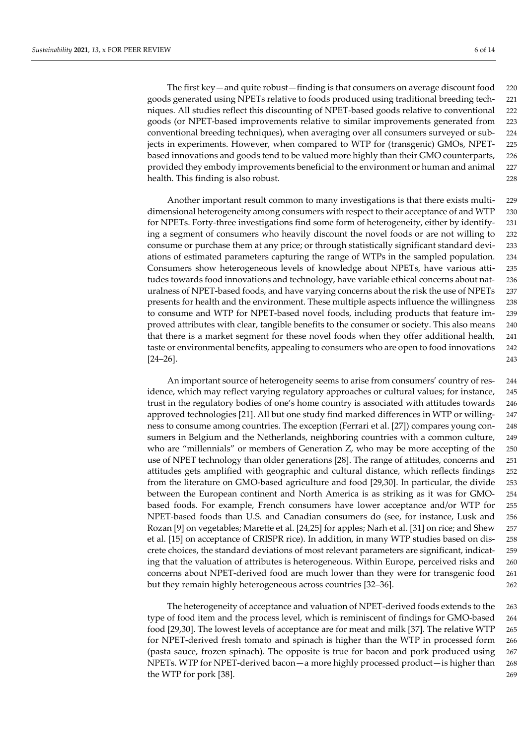The first key—and quite robust—finding is that consumers on average discount food 220 goods generated using NPETs relative to foods produced using traditional breeding tech- 221 niques. All studies reflect this discounting of NPET-based goods relative to conventional 222 goods (or NPET-based improvements relative to similar improvements generated from 223 conventional breeding techniques), when averaging over all consumers surveyed or sub- 224 jects in experiments. However, when compared to WTP for (transgenic) GMOs, NPET- 225 based innovations and goods tend to be valued more highly than their GMO counterparts, 226 provided they embody improvements beneficial to the environment or human and animal 227 health. This finding is also robust. 228

Another important result common to many investigations is that there exists multi- 229 dimensional heterogeneity among consumers with respect to their acceptance of and WTP 230 for NPETs. Forty-three investigations find some form of heterogeneity, either by identify- 231 ing a segment of consumers who heavily discount the novel foods or are not willing to 232 consume or purchase them at any price; or through statistically significant standard devi- 233 ations of estimated parameters capturing the range of WTPs in the sampled population. 234 Consumers show heterogeneous levels of knowledge about NPETs, have various atti- 235 tudes towards food innovations and technology, have variable ethical concerns about nat- 236 uralness of NPET-based foods, and have varying concerns about the risk the use of NPETs 237 presents for health and the environment. These multiple aspects influence the willingness 238 to consume and WTP for NPET-based novel foods, including products that feature im- 239 proved attributes with clear, tangible benefits to the consumer or society. This also means 240 that there is a market segment for these novel foods when they offer additional health, 241 taste or environmental benefits, appealing to consumers who are open to food innovations 242  $[24-26]$ . 243

An important source of heterogeneity seems to arise from consumers' country of res- 244 idence, which may reflect varying regulatory approaches or cultural values; for instance, 245 trust in the regulatory bodies of one's home country is associated with attitudes towards 246 approved technologies [21]. All but one study find marked differences in WTP or willing- 247 ness to consume among countries. The exception (Ferrari et al. [27]) compares young con- 248 sumers in Belgium and the Netherlands, neighboring countries with a common culture, 249 who are "millennials" or members of Generation Z, who may be more accepting of the 250 use of NPET technology than older generations [28]. The range of attitudes, concerns and 251 attitudes gets amplified with geographic and cultural distance, which reflects findings 252 from the literature on GMO-based agriculture and food [29,30]. In particular, the divide 253 between the European continent and North America is as striking as it was for GMO- 254 based foods. For example, French consumers have lower acceptance and/or WTP for 255 NPET-based foods than U.S. and Canadian consumers do (see, for instance, Lusk and 256 Rozan [9] on vegetables; Marette et al. [24,25] for apples; Narh et al. [31] on rice; and Shew 257 et al. [15] on acceptance of CRISPR rice). In addition, in many WTP studies based on dis- 258 crete choices, the standard deviations of most relevant parameters are significant, indicat- 259 ing that the valuation of attributes is heterogeneous. Within Europe, perceived risks and 260 concerns about NPET-derived food are much lower than they were for transgenic food 261 but they remain highly heterogeneous across countries [32–36]. 262

The heterogeneity of acceptance and valuation of NPET-derived foods extends to the 263 type of food item and the process level, which is reminiscent of findings for GMO-based 264 food [29,30]. The lowest levels of acceptance are for meat and milk [37]. The relative WTP 265 for NPET-derived fresh tomato and spinach is higher than the WTP in processed form 266 (pasta sauce, frozen spinach). The opposite is true for bacon and pork produced using 267 NPETs. WTP for NPET-derived bacon—a more highly processed product—is higher than 268 the WTP for pork [38]. 269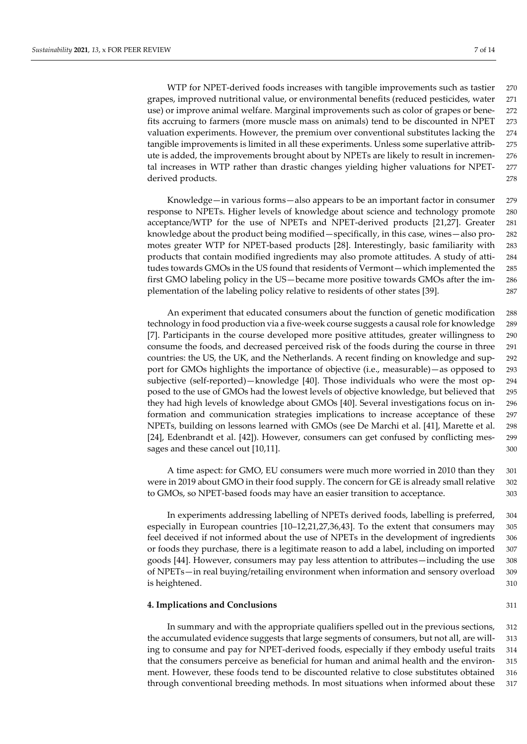WTP for NPET-derived foods increases with tangible improvements such as tastier 270 grapes, improved nutritional value, or environmental benefits (reduced pesticides, water 271 use) or improve animal welfare. Marginal improvements such as color of grapes or bene- 272 fits accruing to farmers (more muscle mass on animals) tend to be discounted in NPET 273 valuation experiments. However, the premium over conventional substitutes lacking the 274 tangible improvements is limited in all these experiments. Unless some superlative attrib- 275 ute is added, the improvements brought about by NPETs are likely to result in incremen- 276 tal increases in WTP rather than drastic changes yielding higher valuations for NPET- 277 derived products. 278

Knowledge—in various forms—also appears to be an important factor in consumer 279 response to NPETs. Higher levels of knowledge about science and technology promote 280 acceptance/WTP for the use of NPETs and NPET-derived products [21,27]. Greater 281 knowledge about the product being modified—specifically, in this case, wines—also pro- 282 motes greater WTP for NPET-based products [28]. Interestingly, basic familiarity with 283 products that contain modified ingredients may also promote attitudes. A study of atti- 284 tudes towards GMOs in the US found that residents of Vermont—which implemented the 285 first GMO labeling policy in the US—became more positive towards GMOs after the im- 286 plementation of the labeling policy relative to residents of other states [39]. 287

An experiment that educated consumers about the function of genetic modification 288 technology in food production via a five-week course suggests a causal role for knowledge 289 [7]. Participants in the course developed more positive attitudes, greater willingness to 290 consume the foods, and decreased perceived risk of the foods during the course in three 291 countries: the US, the UK, and the Netherlands. A recent finding on knowledge and sup- 292 port for GMOs highlights the importance of objective (i.e., measurable)—as opposed to 293 subjective (self-reported)—knowledge [40]. Those individuals who were the most op- 294 posed to the use of GMOs had the lowest levels of objective knowledge, but believed that 295 they had high levels of knowledge about GMOs [40]. Several investigations focus on in- 296 formation and communication strategies implications to increase acceptance of these 297 NPETs, building on lessons learned with GMOs (see De Marchi et al. [41], Marette et al. 298 [24], Edenbrandt et al. [42]). However, consumers can get confused by conflicting mes- 299 sages and these cancel out [10,11]. 300

A time aspect: for GMO, EU consumers were much more worried in 2010 than they 301 were in 2019 about GMO in their food supply. The concern for GE is already small relative 302 to GMOs, so NPET-based foods may have an easier transition to acceptance. 303

In experiments addressing labelling of NPETs derived foods, labelling is preferred, 304 especially in European countries [10–12,21,27,36,43]. To the extent that consumers may 305 feel deceived if not informed about the use of NPETs in the development of ingredients 306 or foods they purchase, there is a legitimate reason to add a label, including on imported 307 goods [44]. However, consumers may pay less attention to attributes—including the use 308 of NPETs—in real buying/retailing environment when information and sensory overload 309 is heightened. 310

# **4. Implications and Conclusions** 311

In summary and with the appropriate qualifiers spelled out in the previous sections, 312 the accumulated evidence suggests that large segments of consumers, but not all, are will- 313 ing to consume and pay for NPET-derived foods, especially if they embody useful traits 314 that the consumers perceive as beneficial for human and animal health and the environ- 315 ment. However, these foods tend to be discounted relative to close substitutes obtained 316 through conventional breeding methods. In most situations when informed about these 317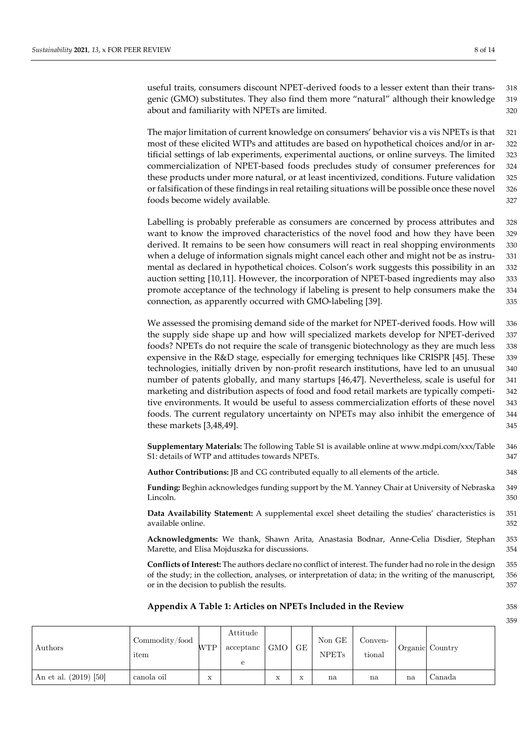useful traits, consumers discount NPET-derived foods to a lesser extent than their trans- 318 genic (GMO) substitutes. They also find them more "natural" although their knowledge 319 about and familiarity with NPETs are limited. 320

The major limitation of current knowledge on consumers' behavior vis a vis NPETs is that 321 most of these elicited WTPs and attitudes are based on hypothetical choices and/or in ar- 322 tificial settings of lab experiments, experimental auctions, or online surveys. The limited 323 commercialization of NPET-based foods precludes study of consumer preferences for 324 these products under more natural, or at least incentivized, conditions. Future validation 325 or falsification of these findings in real retailing situations will be possible once these novel 326 foods become widely available. **327** and  $\frac{327}{2}$ 

Labelling is probably preferable as consumers are concerned by process attributes and 328 want to know the improved characteristics of the novel food and how they have been 329 derived. It remains to be seen how consumers will react in real shopping environments 330 when a deluge of information signals might cancel each other and might not be as instru- 331 mental as declared in hypothetical choices. Colson's work suggests this possibility in an 332 auction setting [10,11]. However, the incorporation of NPET-based ingredients may also 333 promote acceptance of the technology if labeling is present to help consumers make the 334 connection, as apparently occurred with GMO-labeling [39]. 335

We assessed the promising demand side of the market for NPET-derived foods. How will 336 the supply side shape up and how will specialized markets develop for NPET-derived 337 foods? NPETs do not require the scale of transgenic biotechnology as they are much less 338 expensive in the R&D stage, especially for emerging techniques like CRISPR [45]. These 339 technologies, initially driven by non-profit research institutions, have led to an unusual 340 number of patents globally, and many startups [46,47]. Nevertheless, scale is useful for 341 marketing and distribution aspects of food and food retail markets are typically competi- 342 tive environments. It would be useful to assess commercialization efforts of these novel 343 foods. The current regulatory uncertainty on NPETs may also inhibit the emergence of 344 these markets [3,48,49]. 345

**Supplementary Materials:** The following Table S1 is available online at www.mdpi.com/xxx/Table 346 S1: details of WTP and attitudes towards NPETs.  $347$ 

**Author Contributions:** JB and CG contributed equally to all elements of the article. 348

**Funding:** Beghin acknowledges funding support by the M. Yanney Chair at University of Nebraska 349 Lincoln. 350

**Data Availability Statement:** A supplemental excel sheet detailing the studies' characteristics is 351 available online. 352

**Acknowledgments:** We thank, Shawn Arita, Anastasia Bodnar, Anne-Celia Disdier, Stephan 353 Marette, and Elisa Mojduszka for discussions. 354

**Conflicts of Interest:** The authors declare no conflict of interest. The funder had no role in the design 355 of the study; in the collection, analyses, or interpretation of data; in the writing of the manuscript, 356 or in the decision to publish the results. 357

## **Appendix A Table 1: Articles on NPETs Included in the Review** 358

359

| Authors                 | Commodity/food<br>item | <b>WTP</b>         | Attitude<br>acceptanc<br>е | $GMO$ GE          |            | Non GE<br><b>NPETs</b> | Conven-<br>tional |    | Organic Country |
|-------------------------|------------------------|--------------------|----------------------------|-------------------|------------|------------------------|-------------------|----|-----------------|
| An et al. $(2019)$ [50] | canola oil             | $\mathbf{v}$<br>л. |                            | $\mathbf{v}$<br>A | 77.77<br>⋏ | na                     | na                | na | Canada          |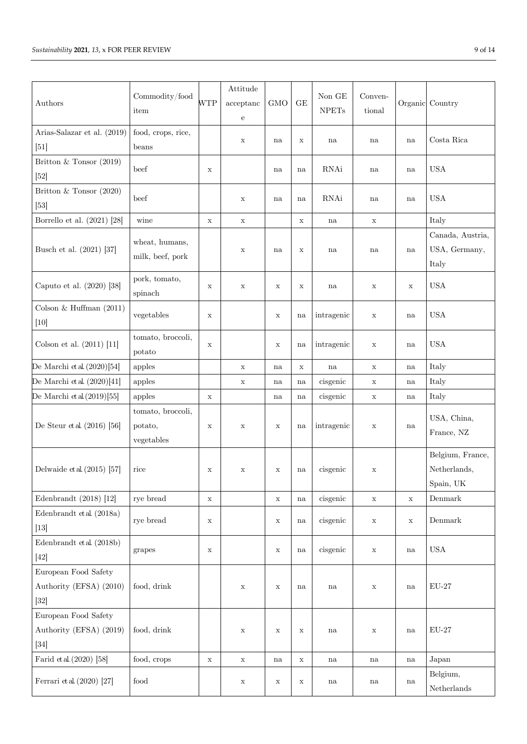| Authors                                                   | Commodity/food<br>item                     | WTP         | Attitude<br>acceptance<br>e | <b>GMO</b>  | GE          | Non GE<br>${\rm NPETs}$ | Conven-<br>tional | Organic     | Country                                       |
|-----------------------------------------------------------|--------------------------------------------|-------------|-----------------------------|-------------|-------------|-------------------------|-------------------|-------------|-----------------------------------------------|
| Arias-Salazar et al. (2019)<br>$[51]$                     | food, crops, rice,<br>beans                |             | X                           | na          | X           | na                      | na                | na          | Costa Rica                                    |
| Britton & Tonsor (2019)<br>$[52]$                         | beef                                       | X           |                             | na          | na          | RNAi                    | na                | na          | <b>USA</b>                                    |
| Britton & Tonsor $(2020)$<br>$[53]$                       | beef                                       |             | X                           | na          | na          | RNAi                    | na                | na          | <b>USA</b>                                    |
| Borrello et al. $(2021)$ [28]                             | wine                                       | $\mathbf x$ | $\mathbf X$                 |             | $\mathbf X$ | na                      | $\mathbf X$       |             | Italy                                         |
| Busch et al. (2021) [37]                                  | wheat, humans,<br>milk, beef, pork         |             | $\mathbf x$                 | na          | X           | na                      | na                | na          | Canada, Austria,<br>USA, Germany,<br>Italy    |
| Caputo et al. (2020) [38]                                 | pork, tomato,<br>spinach                   | X           | X                           | X           | X           | na                      | $\mathbf X$       | $\mathbf X$ | <b>USA</b>                                    |
| Colson & Huffman $(2011)$<br>$[10]$                       | vegetables                                 | X           |                             | X           | na          | intragenic              | $\mathbf X$       | na          | <b>USA</b>                                    |
| Colson et al. $(2011)$ [11]                               | tomato, broccoli,<br>potato                | $\mathbf X$ |                             | $\mathbf x$ | na          | intragenic              | $\mathbf X$       | na          | <b>USA</b>                                    |
| De Marchi et al. $(2020)[54]$                             | apples                                     |             | X                           | na          | $\mathbf X$ | na                      | X                 | na          | Italy                                         |
| De Marchi et al. $(2020)[41]$                             | apples                                     |             | X                           | na          | na          | cisgenic                | $\mathbf X$       | na          | Italy                                         |
| De Marchi et al. $(2019)$ [55]                            | apples                                     | $\mathbf x$ |                             | na          | na          | cisgenic                | $\mathbf X$       | na          | Italy                                         |
| De Steur et al. $(2016)$ [56]                             | tomato, broccoli,<br>potato,<br>vegetables | X           | X                           | X           | na          | intragenic              | $\mathbf X$       | na          | USA, China,<br>France, NZ                     |
| Delwaide et al. $(2015)$ [57]                             | rice                                       | X           | X                           | X           | na          | cisgenic                | $\mathbf X$       |             | Belgium, France,<br>Netherlands,<br>Spain, UK |
| Edenbrandt $(2018)$ [12]                                  | rye bread                                  | $\mathbf x$ |                             | $\mathbf x$ | na          | cisgenic                | $\mathbf x$       | X           | Denmark                                       |
| Edenbrandt et al. (2018a)<br>$[13]$                       | rye bread                                  | $\mathbf x$ |                             | $\mathbf X$ | na          | cisgenic                | $\mathbf X$       | $\mathbf X$ | Demmark                                       |
| Edenbrandt et al. (2018b)<br>$[42]$                       | grapes                                     | $\mathbf x$ |                             | $\mathbf X$ | na          | cisgenic                | $\mathbf X$       | na          | <b>USA</b>                                    |
| European Food Safety<br>Authority (EFSA) (2010)<br>$[32]$ | food, drink                                |             | X                           | $\mathbf X$ | na          | na                      | $\mathbf X$       | na          | $EU-27$                                       |
| European Food Safety<br>Authority (EFSA) (2019)<br>$[34]$ | food, drink                                |             | $\mathbf x$                 | $\mathbf X$ | $\mathbf X$ | na                      | $\mathbf x$       | na          | $\rm EU\text{-}27$                            |
| Farid et al. $(2020)$ [58]                                | food, crops                                | $\mathbf X$ | $\mathbf x$                 | na          | $\mathbf X$ | na                      | na                | na          | Japan                                         |
| Ferrari et al. $(2020)$ [27]                              | $\operatorname{food}$                      |             | X                           | X           | $\mathbf X$ | na                      | na                | na          | Belgium,<br>${\bf Netherlands}$               |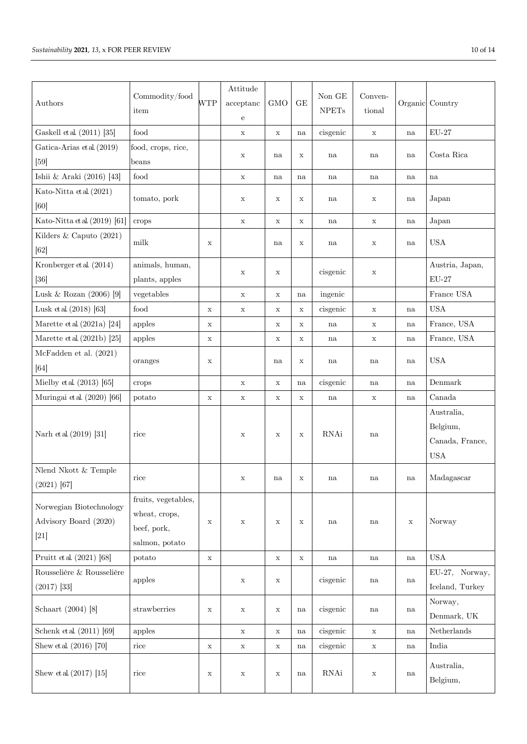| Authors                                                    | Commodity/food<br>item                                                | <b>WTP</b>  | Attitude<br>acceptance<br>e | <b>GMO</b>  | GE          | Non GE<br><b>NPETs</b> | Conven-<br>tional | Organic     | Country                                                 |
|------------------------------------------------------------|-----------------------------------------------------------------------|-------------|-----------------------------|-------------|-------------|------------------------|-------------------|-------------|---------------------------------------------------------|
| Gaskell et al. (2011) [35]                                 | food                                                                  |             | $\mathbf x$                 | $\mathbf x$ | na          | cisgenic               | $\mathbf X$       | na          | $EU-27$                                                 |
| Gatica-Arias et al. (2019)                                 | food, crops, rice,                                                    |             | X                           | na          | X           | na                     | na                | na          | Costa Rica                                              |
| [59]                                                       | beans                                                                 |             |                             |             |             |                        |                   |             |                                                         |
| Ishii & Araki (2016) [43]                                  | food                                                                  |             | $\mathbf x$                 | na          | na          | na                     | na                | na          | na                                                      |
| Kato-Nitta et al. (2021)<br>[60]                           | tomato, pork                                                          |             | X                           | X           | $\mathbf X$ | na                     | $\mathbf X$       | na          | Japan                                                   |
| Kato-Nitta et al. (2019) [61]                              | crops                                                                 |             | $\mathbf x$                 | $\mathbf X$ | $\mathbf X$ | na                     | $\mathbf X$       | na          | Japan                                                   |
| Kilders & Caputo (2021)<br>[62]                            | $\operatorname{milk}$                                                 | X           |                             | na          | X           | na                     | $\mathbf X$       | na          | <b>USA</b>                                              |
| Kronberger et al. (2014)<br>$[36]$                         | animals, human,<br>plants, apples                                     |             | X                           | X           |             | cisgenic               | $\mathbf X$       |             | Austria, Japan,<br>$\mathrm{EU}\text{-}27$              |
| Lusk & Rozan $(2006)$ [9]                                  | vegetables                                                            |             | $\mathbf x$                 | $\mathbf X$ | na          | ingenic                |                   |             | $\operatorname*{France}\operatorname*{USA}$             |
| Lusk et al. $(2018)$ [63]                                  | food                                                                  | X           | $\mathbf x$                 | X           | $\mathbf x$ | cisgenic               | $\mathbf X$       | na          | <b>USA</b>                                              |
| Marette et al. $(2021a)$ [24]                              | apples                                                                | X           |                             | X           | X           | na                     | $\mathbf X$       | na          | France, USA                                             |
| Marette et al. $(2021b)$ [25]                              | apples                                                                | X           |                             | $\mathbf x$ | X           | na                     | $\mathbf X$       | na          | France, USA                                             |
| McFadden et al. (2021)<br>[64]                             | oranges                                                               | X           |                             | na          | X           | na                     | na                | na          | <b>USA</b>                                              |
| Mielby et al. $(2013)$ [65]                                | crops                                                                 |             | $\mathbf x$                 | X           | na          | cisgenic               | na                | na          | Denmark                                                 |
| Muringai et al. (2020) [66]                                | potato                                                                | $\mathbf X$ | $\mathbf x$                 | $\mathbf x$ | $\mathbf X$ | na                     | $\mathbf X$       | na          | Canada                                                  |
| Narh et al. (2019) [31]                                    | rice                                                                  |             | X                           | $\mathbf X$ | X           | RNAi                   | na                |             | Australia,<br>Belgium,<br>Canada, France,<br><b>USA</b> |
| Nlend Nkott & Temple<br>$(2021)$ [67]                      | $\rm{rice}$                                                           |             | X                           | na          | X           | na                     | na                | na          | Madagascar                                              |
| Norwegian Biotechnology<br>Advisory Board (2020)<br>$[21]$ | fruits, vegetables,<br>wheat, crops,<br>beef, pork,<br>salmon, potato | X           | X                           | $\mathbf x$ | $\mathbf X$ | na                     | na                | $\mathbf X$ | Norway                                                  |
| Pruitt et al. (2021) [68]                                  | potato                                                                | $\mathbf x$ |                             | $\mathbf X$ | $\mathbf X$ | na                     | na                | na          | <b>USA</b>                                              |
| Rousselière & Rousselière<br>$(2017)$ [33]                 | apples                                                                |             | $\mathbf X$                 | X           |             | cisgenic               | na                | na          | EU-27, Norway,<br>Iceland, Turkey                       |
| Schaart (2004) [8]                                         | strawberries                                                          | $\mathbf x$ | $\mathbf x$                 | $\mathbf X$ | na          | cisgenic               | na                | na          | Norway,<br>Denmark, UK                                  |
| Schenk et al. $(2011)$ [69]                                | apples                                                                |             | X                           | $\mathbf X$ | na          | cisgenic               | $\mathbf X$       | na          | Netherlands                                             |
| Shew et al. (2016) [70]                                    | $_{\rm{rice}}$                                                        | $\mathbf X$ | $\mathbf x$                 | $\mathbf X$ | na          | cisgenic               | $\mathbf X$       | na          | India                                                   |
| Shew et al. $(2017)$ [15]                                  | rice                                                                  | X           | $\mathbf X$                 | X           | na          | RNAi                   | $\mathbf X$       | na          | Australia,<br>Belgium,                                  |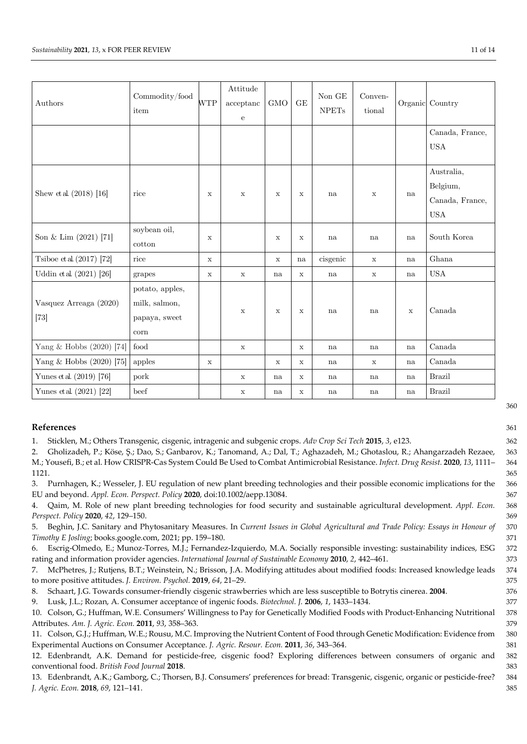| Authors                          | Commodity/food<br>item                                             | <b>WTP</b>  | Attitude<br>acceptanc<br>${\bf e}$ | <b>GMO</b>  | $\mathcal{G}\mathcal{E}$ | Non GE<br><b>NPETs</b> | Conven-<br>tional |             | Organic Country                                         |
|----------------------------------|--------------------------------------------------------------------|-------------|------------------------------------|-------------|--------------------------|------------------------|-------------------|-------------|---------------------------------------------------------|
|                                  |                                                                    |             |                                    |             |                          |                        |                   |             | Canada, France,<br><b>USA</b>                           |
| Shew et al. $(2018)$ [16]        | rice                                                               | X           | $\mathbf x$                        | $\mathbf x$ | $\mathbf x$              | na                     | $\mathbf X$       | na          | Australia,<br>Belgium,<br>Canada, France,<br><b>USA</b> |
| Son & Lim $(2021)$ [71]          | soybean oil,<br>cotton                                             | $\mathbf x$ |                                    | $\mathbf x$ | $\mathbf x$              | na                     | na                | na          | South Korea                                             |
| Tsiboe et al. $(2017)$ [72]      | rice                                                               | $\mathbf x$ |                                    | $\mathbf x$ | na                       | cisgenic               | $\mathbf x$       | na          | Ghana                                                   |
| Uddin et al. (2021) [26]         | grapes                                                             | $\mathbf x$ | $\mathbf x$                        | na          | $\mathbf x$              | na                     | $\mathbf X$       | na          | <b>USA</b>                                              |
| Vasquez Arreaga (2020)<br>$[73]$ | potato, apples,<br>milk, salmon,<br>papaya, sweet<br>$_{\rm corn}$ |             | $\mathbf X$                        | $\mathbf X$ | $\mathbf x$              | na                     | na                | $\mathbf x$ | Canada                                                  |
| Yang & Hobbs (2020) [74]         | $\operatorname{food}$                                              |             | $\mathbf x$                        |             | $\mathbf x$              | na                     | na                | na          | Canada                                                  |
| Yang $&$ Hobbs (2020) [75]       | apples                                                             | $\mathbf x$ |                                    | $\mathbf X$ | $\mathbf x$              | na                     | $\mathbf x$       | na          | Canada                                                  |
| Yunes et al. (2019) [76]         | pork                                                               |             | $\mathbf x$                        | na          | X                        | na                     | na                | na          | <b>Brazil</b>                                           |
| Yunes et al. $(2021)$ [22]       | beef                                                               |             | $\mathbf X$                        | na          | $\mathbf x$              | na                     | na                | na          | <b>Brazil</b>                                           |

# **References** 361

1. Sticklen, M.; Others Transgenic, cisgenic, intragenic and subgenic crops. *Adv Crop Sci Tech* **2015**, *3*, e123. 362

2. Gholizadeh, P.; Köse, Ş.; Dao, S.; Ganbarov, K.; Tanomand, A.; Dal, T.; Aghazadeh, M.; Ghotaslou, R.; Ahangarzadeh Rezaee, 363 M.; Yousefi, B.; et al. How CRISPR-Cas System Could Be Used to Combat Antimicrobial Resistance. *Infect. Drug Resist.* **2020**, *13*, 1111– 364

1121. 365 3. Purnhagen, K.; Wesseler, J. EU regulation of new plant breeding technologies and their possible economic implications for the 366 EU and beyond. *Appl. Econ. Perspect. Policy* **2020**, doi:10.1002/aepp.13084. 367

4. Qaim, M. Role of new plant breeding technologies for food security and sustainable agricultural development. *Appl. Econ.* 368 *Perspect. Policy* **2020**, *42*, 129–150. 369

5. Beghin, J.C. Sanitary and Phytosanitary Measures. In *Current Issues in Global Agricultural and Trade Policy: Essays in Honour of* 370 *Timothy E Josling*; books.google.com, 2021; pp. 159–180. 371

6. Escrig-Olmedo, E.; Munoz-Torres, M.J.; Fernandez-Izquierdo, M.A. Socially responsible investing: sustainability indices, ESG 372 rating and information provider agencies. *International Journal of Sustainable Economy* **2010**, *2*, 442–461. 373

7. McPhetres, J.; Rutjens, B.T.; Weinstein, N.; Brisson, J.A. Modifying attitudes about modified foods: Increased knowledge leads 374 to more positive attitudes. *J. Environ. Psychol.* **2019**, *64*, 21–29. 375

8. Schaart, J.G. Towards consumer-friendly cisgenic strawberries which are less susceptible to Botrytis cinerea. **2004**. 376

9. Lusk, J.L.; Rozan, A. Consumer acceptance of ingenic foods. *Biotechnol. J.* **2006**, *1*, 1433–1434. 377

- 10. Colson, G.; Huffman, W.E. Consumers' Willingness to Pay for Genetically Modified Foods with Product-Enhancing Nutritional 378 Attributes. *Am. J. Agric. Econ.* **2011**, *93*, 358–363. 379
- 11. Colson, G.J.; Huffman, W.E.; Rousu, M.C. Improving the Nutrient Content of Food through Genetic Modification: Evidence from 380 Experimental Auctions on Consumer Acceptance. *J. Agric. Resour. Econ.* **2011**, *36*, 343–364. 381
- 12. Edenbrandt, A.K. Demand for pesticide-free, cisgenic food? Exploring differences between consumers of organic and 382 conventional food. *British Food Journal* **2018**. 383
- 13. Edenbrandt, A.K.; Gamborg, C.; Thorsen, B.J. Consumers' preferences for bread: Transgenic, cisgenic, organic or pesticide-free? 384 *J. Agric. Econ.* **2018**, *69*, 121–141. 385
- 360
-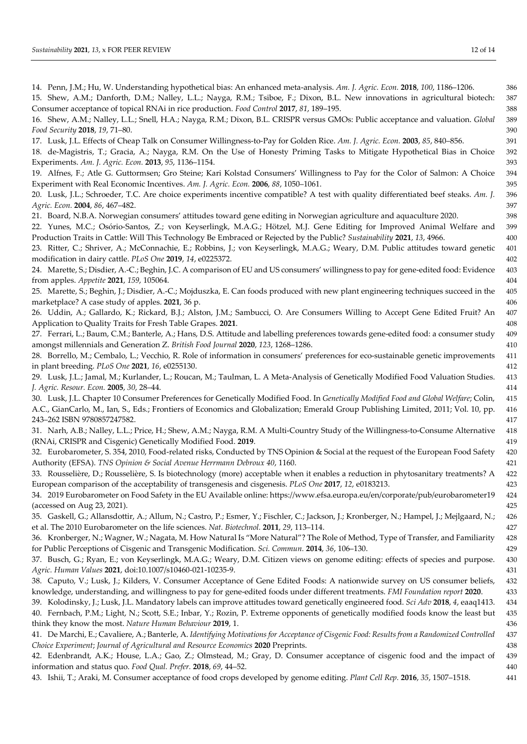| 14. Penn, J.M.; Hu, W. Understanding hypothetical bias: An enhanced meta-analysis. Am. J. Agric. Econ. 2018, 100, 1186-1206.                 | 386 |
|----------------------------------------------------------------------------------------------------------------------------------------------|-----|
| 15. Shew, A.M.; Danforth, D.M.; Nalley, L.L.; Nayga, R.M.; Tsiboe, F.; Dixon, B.L. New innovations in agricultural biotech:                  | 387 |
| Consumer acceptance of topical RNAi in rice production. Food Control 2017, 81, 189-195.                                                      | 388 |
| 16. Shew, A.M.; Nalley, L.L.; Snell, H.A.; Nayga, R.M.; Dixon, B.L. CRISPR versus GMOs: Public acceptance and valuation. Global              | 389 |
| Food Security 2018, 19, 71-80.                                                                                                               | 390 |
| 17. Lusk, J.L. Effects of Cheap Talk on Consumer Willingness-to-Pay for Golden Rice. Am. J. Agric. Econ. 2003, 85, 840-856.                  | 391 |
| 18. de-Magistris, T.; Gracia, A.; Nayga, R.M. On the Use of Honesty Priming Tasks to Mitigate Hypothetical Bias in Choice                    | 392 |
| Experiments. Am. J. Agric. Econ. 2013, 95, 1136-1154.                                                                                        | 393 |
| 19. Alfnes, F.; Atle G. Guttormsen; Gro Steine; Kari Kolstad Consumers' Willingness to Pay for the Color of Salmon: A Choice                 | 394 |
| Experiment with Real Economic Incentives. Am. J. Agric. Econ. 2006, 88, 1050-1061.                                                           | 395 |
| 20. Lusk, J.L.; Schroeder, T.C. Are choice experiments incentive compatible? A test with quality differentiated beef steaks. Am. J.          | 396 |
| Agric. Econ. 2004, 86, 467-482.                                                                                                              | 397 |
| 21. Board, N.B.A. Norwegian consumers' attitudes toward gene editing in Norwegian agriculture and aquaculture 2020.                          | 398 |
| 22. Yunes, M.C.; Osório-Santos, Z.; von Keyserlingk, M.A.G.; Hötzel, M.J. Gene Editing for Improved Animal Welfare and                       | 399 |
| Production Traits in Cattle: Will This Technology Be Embraced or Rejected by the Public? Sustainability 2021, 13, 4966.                      | 400 |
| 23. Ritter, C.; Shriver, A.; McConnachie, E.; Robbins, J.; von Keyserlingk, M.A.G.; Weary, D.M. Public attitudes toward genetic              | 401 |
| modification in dairy cattle. PLoS One 2019, 14, e0225372.                                                                                   | 402 |
| 24. Marette, S.; Disdier, A.-C.; Beghin, J.C. A comparison of EU and US consumers' willingness to pay for gene-edited food: Evidence         | 403 |
| from apples. Appetite 2021, 159, 105064.                                                                                                     | 404 |
| 25. Marette, S.; Beghin, J.; Disdier, A.-C.; Mojduszka, E. Can foods produced with new plant engineering techniques succeed in the           | 405 |
| marketplace? A case study of apples. 2021, 36 p.                                                                                             | 406 |
| 26. Uddin, A.; Gallardo, K.; Rickard, B.J.; Alston, J.M.; Sambucci, O. Are Consumers Willing to Accept Gene Edited Fruit? An                 | 407 |
| Application to Quality Traits for Fresh Table Grapes. 2021.                                                                                  | 408 |
| 27. Ferrari, L.; Baum, C.M.; Banterle, A.; Hans, D.S. Attitude and labelling preferences towards gene-edited food: a consumer study          | 409 |
| amongst millennials and Generation Z. British Food Journal 2020, 123, 1268-1286.                                                             | 410 |
| 28. Borrello, M.; Cembalo, L.; Vecchio, R. Role of information in consumers' preferences for eco-sustainable genetic improvements            | 411 |
| in plant breeding. PLoS One 2021, 16, e0255130.                                                                                              | 412 |
| 29. Lusk, J.L.; Jamal, M.; Kurlander, L.; Roucan, M.; Taulman, L. A Meta-Analysis of Genetically Modified Food Valuation Studies.            | 413 |
| J. Agric. Resour. Econ. 2005, 30, 28-44.                                                                                                     | 414 |
| 30. Lusk, J.L. Chapter 10 Consumer Preferences for Genetically Modified Food. In Genetically Modified Food and Global Welfare; Colin,        | 415 |
| A.C., GianCarlo, M., Ian, S., Eds.; Frontiers of Economics and Globalization; Emerald Group Publishing Limited, 2011; Vol. 10, pp.           | 416 |
| 243-262 ISBN 9780857247582.                                                                                                                  | 417 |
| 31. Narh, A.B.; Nalley, L.L.; Price, H.; Shew, A.M.; Nayga, R.M. A Multi-Country Study of the Willingness-to-Consume Alternative             | 418 |
| (RNAi, CRISPR and Cisgenic) Genetically Modified Food. 2019.                                                                                 | 419 |
| 32. Eurobarometer, S. 354, 2010, Food-related risks, Conducted by TNS Opinion & Social at the request of the European Food Safety            | 420 |
| Authority (EFSA). TNS Opinion & Social Avenue Herrmann Debroux 40, 1160.                                                                     | 421 |
| 33. Rousselière, D.; Rousselière, S. Is biotechnology (more) acceptable when it enables a reduction in phytosanitary treatments? A           | 422 |
| European comparison of the acceptability of transgenesis and cisgenesis. PLoS One 2017, 12, e0183213.                                        | 423 |
| 34. 2019 Eurobarometer on Food Safety in the EU Available online: https://www.efsa.europa.eu/en/corporate/pub/eurobarometer19                | 424 |
| (accessed on Aug 23, 2021).                                                                                                                  | 425 |
| 35. Gaskell, G.; Allansdottir, A.; Allum, N.; Castro, P.; Esmer, Y.; Fischler, C.; Jackson, J.; Kronberger, N.; Hampel, J.; Mejlgaard, N.;   | 426 |
| et al. The 2010 Eurobarometer on the life sciences. Nat. Biotechnol. 2011, 29, 113-114.                                                      | 427 |
| 36. Kronberger, N.; Wagner, W.; Nagata, M. How Natural Is "More Natural"? The Role of Method, Type of Transfer, and Familiarity              | 428 |
| for Public Perceptions of Cisgenic and Transgenic Modification. Sci. Commun. 2014, 36, 106-130.                                              | 429 |
| 37. Busch, G.; Ryan, E.; von Keyserlingk, M.A.G.; Weary, D.M. Citizen views on genome editing: effects of species and purpose.               | 430 |
| Agric. Human Values 2021, doi:10.1007/s10460-021-10235-9.                                                                                    | 431 |
| 38. Caputo, V.; Lusk, J.; Kilders, V. Consumer Acceptance of Gene Edited Foods: A nationwide survey on US consumer beliefs,                  | 432 |
| knowledge, understanding, and willingness to pay for gene-edited foods under different treatments. FMI Foundation report 2020.               | 433 |
| 39. Kolodinsky, J.; Lusk, J.L. Mandatory labels can improve attitudes toward genetically engineered food. Sci Adv 2018, 4, eaaq1413.         | 434 |
| 40. Fernbach, P.M.; Light, N.; Scott, S.E.; Inbar, Y.; Rozin, P. Extreme opponents of genetically modified foods know the least but          | 435 |
| think they know the most. Nature Human Behaviour 2019, 1.                                                                                    | 436 |
| 41. De Marchi, E.; Cavaliere, A.; Banterle, A. Identifying Motivations for Acceptance of Cisgenic Food: Results from a Randomized Controlled | 437 |
| Choice Experiment; Journal of Agricultural and Resource Economics 2020 Preprints.                                                            | 438 |
| 42. Edenbrandt, A.K.; House, L.A.; Gao, Z.; Olmstead, M.; Gray, D. Consumer acceptance of cisgenic food and the impact of                    | 439 |
| information and status quo. Food Qual. Prefer. 2018, 69, 44-52.                                                                              | 440 |
| 43. Ishii, T.; Araki, M. Consumer acceptance of food crops developed by genome editing. Plant Cell Rep. 2016, 35, 1507-1518.                 | 441 |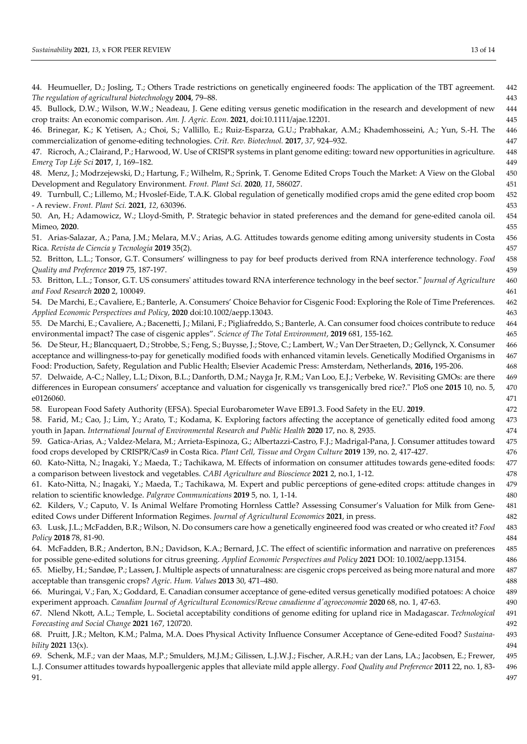| 44. Heumueller, D.; Josling, T.; Others Trade restrictions on genetically engineered foods: The application of the TBT agreement.<br>The regulation of agricultural biotechnology 2004, 79-88.                                                                                     | 442<br>443 |
|------------------------------------------------------------------------------------------------------------------------------------------------------------------------------------------------------------------------------------------------------------------------------------|------------|
| 45. Bullock, D.W.; Wilson, W.W.; Neadeau, J. Gene editing versus genetic modification in the research and development of new                                                                                                                                                       | 444        |
| crop traits: An economic comparison. Am. J. Agric. Econ. 2021, doi:10.1111/ajae.12201.<br>46. Brinegar, K.; K Yetisen, A.; Choi, S.; Vallillo, E.; Ruiz-Esparza, G.U.; Prabhakar, A.M.; Khademhosseini, A.; Yun, S.-H. The                                                         | 445<br>446 |
| commercialization of genome-editing technologies. Crit. Rev. Biotechnol. 2017, 37, 924-932.                                                                                                                                                                                        | 447        |
| 47. Ricroch, A.; Clairand, P.; Harwood, W. Use of CRISPR systems in plant genome editing: toward new opportunities in agriculture.                                                                                                                                                 | 448        |
| Emerg Top Life Sci 2017, 1, 169-182.                                                                                                                                                                                                                                               | 449        |
| 48. Menz, J.; Modrzejewski, D.; Hartung, F.; Wilhelm, R.; Sprink, T. Genome Edited Crops Touch the Market: A View on the Global                                                                                                                                                    | 450        |
| Development and Regulatory Environment. Front. Plant Sci. 2020, 11, 586027.                                                                                                                                                                                                        | 451        |
| 49. Turnbull, C.; Lillemo, M.; Hvoslef-Eide, T.A.K. Global regulation of genetically modified crops amid the gene edited crop boom                                                                                                                                                 | 452        |
| - A review. Front. Plant Sci. 2021, 12, 630396.                                                                                                                                                                                                                                    | 453        |
| 50. An, H.; Adamowicz, W.; Lloyd-Smith, P. Strategic behavior in stated preferences and the demand for gene-edited canola oil.                                                                                                                                                     | 454        |
| Mimeo, 2020.                                                                                                                                                                                                                                                                       | 455        |
| 51. Arias-Salazar, A.; Pana, J.M.; Melara, M.V.; Arias, A.G. Attitudes towards genome editing among university students in Costa                                                                                                                                                   | 456        |
| Rica. Revista de Ciencia y Tecnología 2019 35(2).                                                                                                                                                                                                                                  | 457        |
| 52. Britton, L.L.; Tonsor, G.T. Consumers' willingness to pay for beef products derived from RNA interference technology. Food<br>Quality and Preference 2019 75, 187-197.                                                                                                         | 458<br>459 |
| 53. Britton, L.L.; Tonsor, G.T. US consumers' attitudes toward RNA interference technology in the beef sector." Journal of Agriculture                                                                                                                                             | 460        |
| and Food Research 2020 2, 100049.                                                                                                                                                                                                                                                  | 461        |
| 54. De Marchi, E.; Cavaliere, E.; Banterle, A. Consumers' Choice Behavior for Cisgenic Food: Exploring the Role of Time Preferences.                                                                                                                                               | 462        |
| Applied Economic Perspectives and Policy, 2020 doi:10.1002/aepp.13043.                                                                                                                                                                                                             | 463        |
| 55. De Marchi, E.; Cavaliere, A.; Bacenetti, J.; Milani, F.; Pigliafreddo, S.; Banterle, A. Can consumer food choices contribute to reduce                                                                                                                                         | 464        |
| environmental impact? The case of cisgenic apples". Science of The Total Environment, 2019 681, 155-162.                                                                                                                                                                           | 465        |
| 56. De Steur, H.; Blancquaert, D.; Strobbe, S.; Feng, S.; Buysse, J.; Stove, C.; Lambert, W.; Van Der Straeten, D.; Gellynck, X. Consumer                                                                                                                                          | 466        |
| acceptance and willingness-to-pay for genetically modified foods with enhanced vitamin levels. Genetically Modified Organisms in                                                                                                                                                   | 467        |
| Food: Production, Safety, Regulation and Public Health; Elsevier Academic Press: Amsterdam, Netherlands, 2016, 195-206.                                                                                                                                                            | 468        |
| 57. Delwaide, A-C.; Nalley, L.L; Dixon, B.L.; Danforth, D.M.; Nayga Jr, R.M.; Van Loo, E.J.; Verbeke, W. Revisiting GMOs: are there<br>differences in European consumers' acceptance and valuation for cisgenically vs transgenically bred rice?." PloS one 2015 10, no. 5,        | 469<br>470 |
| e0126060.                                                                                                                                                                                                                                                                          | 471        |
| 58. European Food Safety Authority (EFSA). Special Eurobarometer Wave EB91.3. Food Safety in the EU. 2019.                                                                                                                                                                         | 472        |
| 58. Farid, M.; Cao, J.; Lim, Y.; Arato, T.; Kodama, K. Exploring factors affecting the acceptance of genetically edited food among                                                                                                                                                 | 473        |
| youth in Japan. International Journal of Environmental Research and Public Health 2020 17, no. 8, 2935.                                                                                                                                                                            | 474        |
| 59. Gatica-Arias, A.; Valdez-Melara, M.; Arrieta-Espinoza, G.; Albertazzi-Castro, F.J.; Madrigal-Pana, J. Consumer attitudes toward                                                                                                                                                | 475        |
| food crops developed by CRISPR/Cas9 in Costa Rica. Plant Cell, Tissue and Organ Culture 2019 139, no. 2, 417-427.                                                                                                                                                                  | 476        |
| 60. Kato-Nitta, N.; Inagaki, Y.; Maeda, T.; Tachikawa, M. Effects of information on consumer attitudes towards gene-edited foods:                                                                                                                                                  | 477        |
| a comparison between livestock and vegetables. CABI Agriculture and Bioscience 2021 2, no.1, 1-12.                                                                                                                                                                                 | 478        |
| 61. Kato-Nitta, N.; Inagaki, Y.; Maeda, T.; Tachikawa, M. Expert and public perceptions of gene-edited crops: attitude changes in                                                                                                                                                  | 479        |
| relation to scientific knowledge. Palgrave Communications 2019 5, no. 1, 1-14.                                                                                                                                                                                                     | 480        |
| 62. Kilders, V.; Caputo, V. Is Animal Welfare Promoting Hornless Cattle? Assessing Consumer's Valuation for Milk from Gene-                                                                                                                                                        | 481        |
| edited Cows under Different Information Regimes. Journal of Agricultural Economics 2021, in press.                                                                                                                                                                                 | 482        |
| 63. Lusk, J.L.; McFadden, B.R.; Wilson, N. Do consumers care how a genetically engineered food was created or who created it? Food                                                                                                                                                 | 483        |
| Policy 2018 78, 81-90.                                                                                                                                                                                                                                                             | 484        |
| 64. McFadden, B.R.; Anderton, B.N.; Davidson, K.A.; Bernard, J.C. The effect of scientific information and narrative on preferences                                                                                                                                                | 485        |
| for possible gene-edited solutions for citrus greening. Applied Economic Perspectives and Policy 2021 DOI: 10.1002/aepp.13154.                                                                                                                                                     | 486        |
| 65. Mielby, H.; Sandøe, P.; Lassen, J. Multiple aspects of unnaturalness: are cisgenic crops perceived as being more natural and more                                                                                                                                              | 487        |
| acceptable than transgenic crops? Agric. Hum. Values 2013 30, 471-480.                                                                                                                                                                                                             | 488        |
| 66. Muringai, V.; Fan, X.; Goddard, E. Canadian consumer acceptance of gene-edited versus genetically modified potatoes: A choice                                                                                                                                                  | 489<br>490 |
|                                                                                                                                                                                                                                                                                    |            |
| experiment approach. Canadian Journal of Agricultural Economics/Revue canadienne d'agroeconomie 2020 68, no. 1, 47-63.                                                                                                                                                             |            |
| 67. Nlend Nkott, A.L.; Temple, L. Societal acceptability conditions of genome editing for upland rice in Madagascar. Technological                                                                                                                                                 | 491        |
| Forecasting and Social Change 2021 167, 120720.                                                                                                                                                                                                                                    | 492        |
| 68. Pruitt, J.R.; Melton, K.M.; Palma, M.A. Does Physical Activity Influence Consumer Acceptance of Gene-edited Food? Sustaina-                                                                                                                                                    | 493<br>494 |
| bility $2021$ 13(x).                                                                                                                                                                                                                                                               | 495        |
| 69. Schenk, M.F.; van der Maas, M.P.; Smulders, M.J.M.; Gilissen, L.J.W.J.; Fischer, A.R.H.; van der Lans, I.A.; Jacobsen, E.; Frewer,<br>L.J. Consumer attitudes towards hypoallergenic apples that alleviate mild apple allergy. Food Quality and Preference 2011 22, no. 1, 83- | 496        |